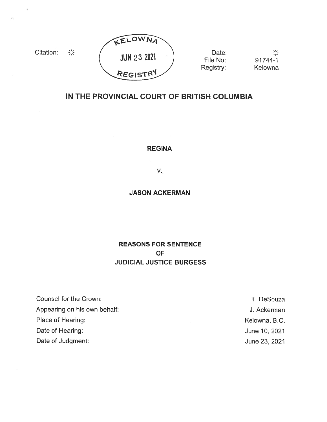

# IN THE PROVINCIAL COURT OF BRITISH COLUMBIA

REGINA

V.

## JASON ACKERMAN

REASONS FOR SENTENCE OF JUDICIAL JUSTICE BURGESS

Counsel for the Crown: T. DeSouza Appearing on his own behalf: Ackerman and Ackerman and Ackerman and Ackerman and Ackerman and Ackerman and Ackerman Place of Hearing: Notice and American control of Hearing: Nelson and American control of Hearing: Nelson and American control of Kelowna, B.C. Date of Hearing: June 10, 2021 Date of Judgment: June 23, 2021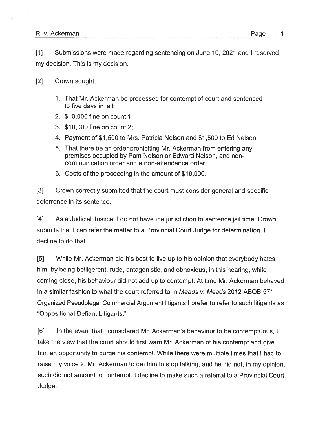#### R. v. Ackerman Page

[1] Submissions were made regarding sentencing on June 10, 2021 and I reserved my decision. This is my decision.

### [2] Crown sought:

- 1. That Mr. Ackerman be processed for contempt of court and sentenced to five days in jail;
- 2. \$10,000 fine on count 1;
- 3. \$10,000 fine on count 2;
- 4. Payment of \$1 ,500 to Mrs. Patricia Nelson and \$1 ,500 to Ed Nelson;
- 5. That there be an order prohibiting Mr. Ackerman from entering any premises occupied by Pam Nelson or Edward Nelson, and noncommunication order and <sup>a</sup> non-attendance order;
- 6. Costs of the proceeding in the amount of \$10,000.

[3] Crown correctly submitted that the court must consider general and specific deterrence in its sentence.

[4] As <sup>a</sup> Judicial Justice, I do not have the jurisdiction to sentence jail time. Crown submits that I can refer the matter to <sup>a</sup> Provincial Court Judge for determination. I decline to do that.

[5] While Mr. Ackerman did his best to live up to his opinion that everybody hates him, by being belligerent, rude, antagonistic, and obnoxious, in this hearing, while coming close, his behaviour did not add up to contempt. At time Mr. Ackerman behaved in <sup>a</sup> similar fashion to what the court referred to in Meads v. Meads 2012 ABQB 571 Organized Pseudolegal Commercial Argument litigants I prefer to refer to such litigants as "Oppositional Defiant Litigants."

[6] In the event that I considered Mr. Ackerman's behaviour to be contemptuous, I take the view that the court should first warn Mr. Ackerman of his contempt and give him an opportunity to purge his contempt. While there were multiple times that I had to raise my voice to Mr. Ackerman to ge<sup>t</sup> him to stop talking, and he did not, in my opinion, such did not amount to contempt. I decline to make such <sup>a</sup> referral to <sup>a</sup> Provincial Court Judge.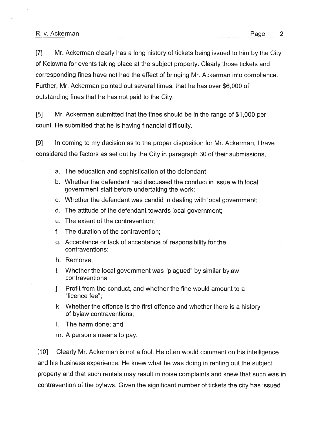[7] Mr. Ackerman clearly has <sup>a</sup> long history of tickets being issued to him by the City of Kelowna for events taking <sup>p</sup>lace at the subject property. Clearly those tickets and corresponding fines have not had the effect of bringing Mr. Ackerman into compliance. Further, Mr. Ackerman pointed out several times, that he has over \$6,000 of outstanding fines that he has not paid to the City.

[8] Mr. Ackerman submitted that the fines should be in the range of \$1 ,000 per count. He submitted that he is having financial difficulty.

[9] In coming to my decision as to the proper disposition for Mr. Ackerman, I have considered the factors as set out by the City in paragraph 30 of their submissions,

- a. The education and sophistication of the defendant;
- b. Whether the defendant had discussed the conduct in issue with local governmen<sup>t</sup> staff before undertaking the work;
- c. Whether the defendant was candid in dealing with local government;
- d. The attitude of the defendant towards local government;
- e. The extent of the contravention;
- f. The duration of the contravention;
- g. Acceptance or lack of acceptance of responsibility for the contraventions;
- h. Remorse;
- i. Whether the local governmen<sup>t</sup> was "plagued' by similar bylaw contraventions;
- j. Profit from the conduct, and whether the fine would amount to <sup>a</sup> "licence fee";
- k. Whether the offence is the first offence and whether there is <sup>a</sup> history of bylaw contraventions;
- I. The harm done; and
- m. A person's means to pay.

[10] Clearly Mr. Ackerman is not <sup>a</sup> fool. He often would comment on his intelligence and his business experience. He knew what he was doing in renting out the subject property and that such rentals may result in noise complaints and knew that such was in contravention of the bylaws. Given the significant number of tickets the city has issued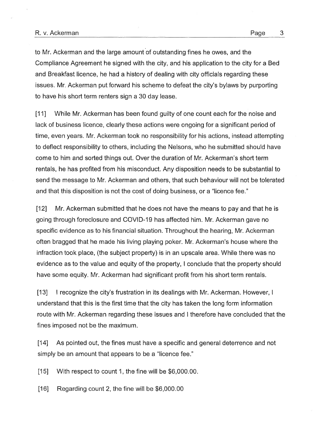#### R. v. Ackerman Page 3

to Mr. Ackerman and the large amount of outstanding fines he owes, and the Compliance Agreement he signed with the city, and his application to the city for <sup>a</sup> Bed and Breakfast licence, he had <sup>a</sup> history of dealing with city officials regarding these issues. Mr. Ackerman pu<sup>t</sup> forward his scheme to defeat the city's bylaws by purporting to have his short term renters sign <sup>a</sup> 30 day lease.

[11] While Mr. Ackerman has been found guilty of one count each for the noise and lack of business licence, clearly these actions were ongoing for <sup>a</sup> significant period of time, even years. Mr. Ackerman took no responsibility for his actions, instead attempting to deflect responsibility to others, including the Nelsons, who he submitted should have come to him and sorted things out. Over the duration of Mr. Ackerman's short term rentals, he has profited from his misconduct. Any disposition needs to be substantial to send the message to Mr. Ackerman and others, that such behaviour will not be tolerated and that this disposition is not the cost of doing business, or <sup>a</sup> "licence fee."

[12] Mr. Ackerman submitted that he does not have the means to pay and that he is going through foreclosure and COVID-19 has affected him. Mr. Ackerman gave no specific evidence as to his financial situation. Throughout the hearing, Mr. Ackerman often bragged that he made his living playing poker. Mr. Ackerman's house where the infraction took place, (the subject property) is in an upscale area. While there was no evidence as to the value and equity of the property, I conclude that the property should have some equity. Mr. Ackerman had significant profit from his short term rentals.

[13] I recognize the city's frustration in its dealings with Mr. Ackerman. However, I understand that this is the first time that the city has taken the long form information route with Mr. Ackerman regarding these issues and I therefore have concluded that the fines imposed not be the maximum.

[14] As pointed out, the fines must have <sup>a</sup> specific and general deterrence and not simply be an amount that appears to be <sup>a</sup> "licence fee."

[15] With respec<sup>t</sup> to count 1, the fine will be \$6,000.00.

[16] Regarding count 2, the fine will be \$6,000.00